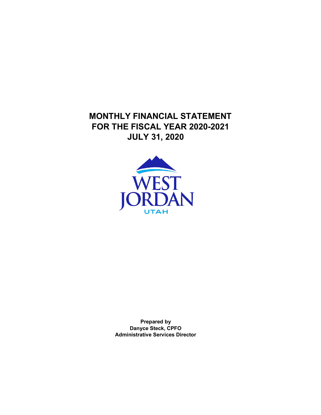**MONTHLY FINANCIAL STATEMENT FOR THE FISCAL YEAR 2020-2021 JULY 31, 2020**



**Prepared by Danyce Steck, CPFO Administrative Services Director**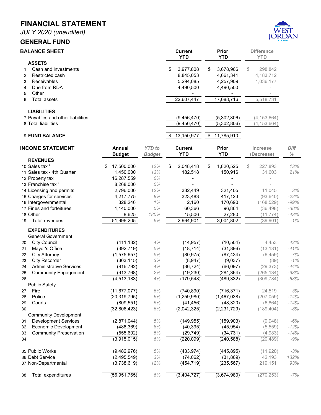*JULY 2020 (unaudited)*

#### **GENERAL FUND**



# **BALANCE SHEET**<br> **Current** Prior Difference<br> **Prior** Difference<br> **Prior** Prior Difference **YTD YTD YTD ASSETS** 1 Cash and investments 1 Cash and investments<br>2 Restricted cash 183,7712<br>2 Restricted cash 183,712 Pestricted cash 8,845,053 4,661,341 4,183,712<br>
Receivables 1 1,036,177 5,294,085 4,257,909 1,036,177 3 Receivables <sup>1</sup> 2006,177 and 2010 1,036,177 and 2010 1,036,177 and 2010 1,036,177 and 2010 1,036,177 and 2010 1,036,177 and 2010 1,036,177 and 2010 1,036,177 and 2010 1,036,177 and 2010 1,036,177 and 2010 1,036,177 and 2 4 Due from RDA 4,490,500 4,490,500 4,490,500 4,490,500 5 Other - - - 6 Total assets <u> 22,607,447 17,088,716 5,518,731</u> **LIABILITIES** 7 Payables and other liabilities (9,456,470) (5,302,806) (4,153,664)<br>8 Total liabilities (9,456,470) (5,302,806) (4,153,664) 8 Total liabilities 9 **FUND BALANCE** \$ 13,150,977 \$ 11,785,910 **REVENUES** 12 Property tax 16,287,559 *0%* - - - 13 Franchise tax ¹ 8,268,000 *0%* - - -

| <b>INCOME STATEMENT</b>              | <b>Annual</b><br><b>Budget</b> | <b>YTD</b> to<br><b>Budget</b> | <b>Current</b><br><b>YTD</b> | <b>Prior</b><br><b>YTD</b> | Increase<br>(Decrease) | <b>Diff</b><br>$\%$ |
|--------------------------------------|--------------------------------|--------------------------------|------------------------------|----------------------------|------------------------|---------------------|
| <b>REVENUES</b>                      |                                |                                |                              |                            |                        |                     |
| 10 Sales tax <sup>1</sup>            | 17,500,000                     | 12%                            | \$<br>2,048,418              | \$<br>1,820,525            | \$<br>227,893          | 13%                 |
| 11 Sales tax - 4th Quarter           | 1,450,000                      | 13%                            | 182,518                      | 150,916                    | 31,603                 | 21%                 |
| 12 Property tax                      | 16,287,559                     | 0%                             |                              |                            |                        |                     |
| 13 Franchise tax <sup>1</sup>        | 8,268,000                      | 0%                             |                              |                            |                        |                     |
| 14 Licensing and permits             | 2,796,000                      | 12%                            | 332,449                      | 321,405                    | 11,045                 | 3%                  |
| 15 Charges for services              | 4,217,775                      | $8%$                           | 323,483                      | 417,123                    | (93, 640)              | $-22%$              |
| 16 Intergovernmental                 | 328,246                        | 1%                             | 2,160                        | 170,690                    | (168, 529)             | $-99%$              |
| 17 Fines and forfeitures             | 1,140,000                      | 5%                             | 60,366                       | 96,864                     | (36, 498)              | $-38%$              |
| 18 Other                             | 8,625                          | 180%                           | 15,506                       | 27,280                     | (11, 774)              | $-43%$              |
| <b>Total revenues</b><br>19          | 51,996,205                     | 6%                             | 2,964,901                    | 3,004,802                  | (39,901)               | $-1%$               |
| <b>EXPENDITURES</b>                  |                                |                                |                              |                            |                        |                     |
| <b>General Government</b>            |                                |                                |                              |                            |                        |                     |
| <b>City Council</b><br>20            | (411, 132)                     | 4%                             | (14, 957)                    | (10, 504)                  | 4,453                  | 42%                 |
| Mayor's Office<br>21                 | (392, 719)                     | 5%                             | (18, 714)                    | (31, 896)                  | (13, 181)              | $-41%$              |
| <b>City Attorney</b><br>22           | (1,575,657)                    | 5%                             | (80, 975)                    | (87, 434)                  | (6, 459)               | $-7%$               |
| City Recorder<br>23                  | (303, 115)                     | 3%                             | (8,947)                      | (9,037)                    | (89)                   | $-1%$               |
| <b>Administrative Services</b><br>24 | (916, 792)                     | 4%                             | (36, 724)                    | (66,097)                   | (29, 373)              | $-44%$              |
| <b>Community Engagement</b><br>25    | (913, 768)                     | 2%                             | (19, 230)                    | (284, 364)                 | (265, 134)             | $-93%$              |
| 26                                   | (4, 513, 183)                  | 4%                             | (179, 548)                   | (489, 332)                 | (309, 784)             | $-63%$              |
| <b>Public Safety</b>                 |                                |                                |                              |                            |                        |                     |
| Fire<br>27                           | (11, 677, 077)                 | 6%                             | (740, 890)                   | (716, 371)                 | 24,519                 | 3%                  |
| Police<br>28                         | (20, 319, 795)                 | 6%                             | (1, 259, 980)                | (1,467,038)                | (207, 059)             | $-14%$              |
| Courts<br>29                         | (809, 551)                     | 5%                             | (41, 456)                    | (48, 320)                  | (6,864)                | $-14%$              |
| 30                                   | (32,806,423)                   | $6\%$                          | (2,042,325)                  | (2, 231, 729)              | (189, 404)             | $-8%$               |
| <b>Community Development</b>         |                                |                                |                              |                            |                        |                     |
| <b>Development Services</b><br>31    | (2,871,044)                    | 5%                             | (149, 955)                   | (159, 903)                 | (9,948)                | $-6%$               |
| <b>Economic Development</b><br>32    | (488, 369)                     | 8%                             | (40, 395)                    | (45, 954)                  | (5, 559)               | $-12%$              |
| <b>Community Preservation</b><br>33  | (555, 602)                     | 5%                             | (29, 749)                    | (34, 731)                  | (4,983)                | $-14%$              |
| 34                                   | (3,915,015)                    | 6%                             | (220, 099)                   | (240, 588)                 | (20, 489)              | $-9%$               |
| 35 Public Works                      | (9,482,976)                    | 5%                             | (433, 974)                   | (445, 895)                 | (11,920)               | $-3%$               |
| 36 Debt Service                      | (2, 495, 549)                  | 3%                             | (74, 062)                    | (31, 869)                  | 42,193                 | 132%                |
| 37 Non-Departmental                  | (3,738,619)                    | 12%                            | (454, 719)                   | (235, 567)                 | 219,151                | 93%                 |
| Total expenditures<br>38             | (56, 951, 765)                 | 6%                             | (3,404,727)                  | (3,674,980)                | (270, 253)             | $-7%$               |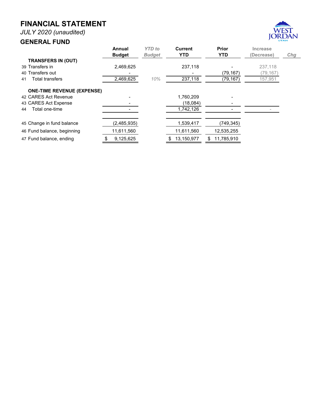*JULY 2020 (unaudited)*

#### **GENERAL FUND**



|                                   | Annual<br><b>Budget</b> | <b>YTD</b> to<br><b>Budget</b> | Current<br><b>YTD</b> | Prior<br><b>YTD</b> | Increase<br>(Decrease) | Chg |
|-----------------------------------|-------------------------|--------------------------------|-----------------------|---------------------|------------------------|-----|
| <b>TRANSFERS IN (OUT)</b>         |                         |                                |                       |                     |                        |     |
| 39 Transfers in                   | 2,469,625               |                                | 237,118               |                     | 237.118                |     |
| 40 Transfers out                  |                         |                                |                       | (79, 167)           | (79,167)               |     |
| <b>Total transfers</b><br>41      | 2,469,625               | 10%                            | 237,118               | (79, 167)           | 157,951                |     |
| <b>ONE-TIME REVENUE (EXPENSE)</b> |                         |                                |                       |                     |                        |     |
| 42 CARES Act Revenue              |                         |                                | 1,760,209             |                     |                        |     |
| 43 CARES Act Expense              |                         |                                | (18,084)              |                     |                        |     |
| Total one-time<br>44              |                         |                                | 1,742,126             |                     |                        |     |
| 45 Change in fund balance         | (2,485,935)             |                                | 1,539,417             | (749, 345)          |                        |     |
| 46 Fund balance, beginning        | 11,611,560              |                                | 11,611,560            | 12,535,255          |                        |     |
| 47 Fund balance, ending           | 9,125,625               |                                | 13,150,977<br>S       | 11,785,910<br>\$    |                        |     |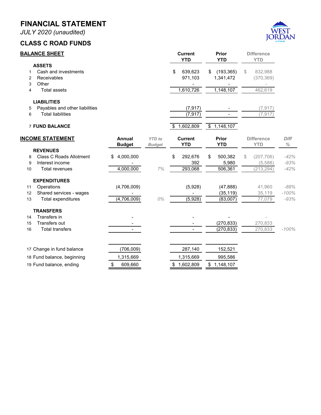*JULY 2020 (unaudited)*

#### **CLASS C ROAD FUNDS**



| <b>BALANCE SHEET</b> |                                |                | <b>Current</b><br><b>YTD</b> | Prior<br><b>YTD</b> |                        | <b>Difference</b><br><b>YTD</b> |                   |             |
|----------------------|--------------------------------|----------------|------------------------------|---------------------|------------------------|---------------------------------|-------------------|-------------|
|                      | <b>ASSETS</b>                  |                |                              |                     |                        |                                 |                   |             |
| 1                    | Cash and investments           |                |                              | \$<br>639,623       | \$<br>(193, 365)       | \$                              | 832,988           |             |
| 2                    | Receivables                    |                |                              | 971,103             | 1,341,472              |                                 | (370, 369)        |             |
| 3                    | Other                          |                |                              |                     |                        |                                 |                   |             |
| 4                    | <b>Total assets</b>            |                |                              | 1,610,726           | 1,148,107              |                                 | 462,619           |             |
|                      | <b>LIABILITIES</b>             |                |                              |                     |                        |                                 |                   |             |
| 5                    | Payables and other liabilities |                |                              | (7, 917)            |                        |                                 | (7, 917)          |             |
| 6                    | <b>Total liabilities</b>       |                |                              | (7, 917)            |                        |                                 | (7, 917)          |             |
|                      | <b>7 FUND BALANCE</b>          |                |                              | \$<br>1,602,809     | $\overline{1,148,107}$ |                                 |                   |             |
|                      | <b>INCOME STATEMENT</b>        | Annual         | <b>YTD</b> to                | <b>Current</b>      | Prior                  |                                 | <b>Difference</b> | <b>Diff</b> |
|                      |                                | <b>Budget</b>  | <b>Budget</b>                | <b>YTD</b>          | <b>YTD</b>             |                                 | <b>YTD</b>        | $\%$        |
|                      | <b>REVENUES</b>                |                |                              |                     |                        |                                 |                   |             |
| 8                    | <b>Class C Roads Allotment</b> | 4,000,000<br>S |                              | \$<br>292,676       | \$<br>500,382          | S.                              | (207, 706)        | $-42%$      |
| 9                    | Interest income                |                |                              | 392                 | 5,980                  |                                 | (5,588)           | $-93%$      |
| 10                   | Total revenues                 | 4,000,000      | 7%                           | 293,068             | 506,361                |                                 | (213, 294)        | $-42%$      |
|                      | <b>EXPENDITURES</b>            |                |                              |                     |                        |                                 |                   |             |
| 11                   | Operations                     | (4,706,009)    |                              | (5,928)             | (47, 888)              |                                 | 41,960            | $-88%$      |
| 12                   | Shared services - wages        |                |                              |                     | (35, 119)              |                                 | 35,119            | $-100%$     |
| 13                   | Total expenditures             | (4,706,009)    | 0%                           | (5,928)             | (83,007)               |                                 | 77,079            | $-93%$      |
|                      | <b>TRANSFERS</b>               |                |                              |                     |                        |                                 |                   |             |
| 14                   | Transfers in                   |                |                              |                     |                        |                                 |                   |             |
| 15                   | Transfers out                  |                |                              |                     | (270, 833)             |                                 | 270,833           |             |
| 16                   | <b>Total transfers</b>         |                |                              |                     | (270,833)              |                                 | 270,833           | $-100%$     |
|                      | 17 Change in fund balance      | (706,009)      |                              | 287,140             | 152,521                |                                 |                   |             |
|                      | 18 Fund balance, beginning     | 1,315,669      |                              | 1,315,669           | 995,586                |                                 |                   |             |
|                      | 19 Fund balance, ending        | \$<br>609,660  |                              | \$<br>1,602,809     | \$<br>1,148,107        |                                 |                   |             |
|                      |                                |                |                              |                     |                        |                                 |                   |             |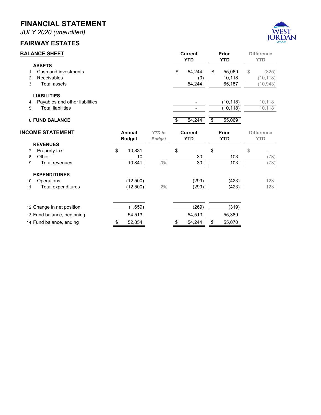*JULY 2020 (unaudited)*

#### **FAIRWAY ESTATES**



| <b>BALANCE SHEET</b> |                                |               |               |                                  | <b>Current</b> |                         | Prior      | <b>Difference</b> |                   |
|----------------------|--------------------------------|---------------|---------------|----------------------------------|----------------|-------------------------|------------|-------------------|-------------------|
|                      |                                |               |               |                                  | <b>YTD</b>     |                         | <b>YTD</b> |                   | <b>YTD</b>        |
|                      | <b>ASSETS</b>                  |               |               |                                  |                |                         |            |                   |                   |
| 1                    | Cash and investments           |               |               | \$                               | 54,244         | \$                      | 55,069     | \$                | (825)             |
| $\overline{2}$       | Receivables                    |               |               |                                  | (0)            |                         | 10,118     |                   | (10, 118)         |
| 3                    | <b>Total assets</b>            |               |               |                                  | 54,244         |                         | 65,187     |                   | (10, 943)         |
|                      | <b>LIABILITIES</b>             |               |               |                                  |                |                         |            |                   |                   |
| 4                    | Payables and other liabilities |               |               |                                  |                |                         | (10, 118)  |                   | 10,118            |
| 5                    | <b>Total liabilities</b>       |               |               |                                  |                |                         | (10, 118)  |                   | 10,118            |
|                      | <b>6 FUND BALANCE</b>          |               |               | $\overline{\boldsymbol{\theta}}$ | 54,244         | $\overline{\mathbf{e}}$ | 55,069     |                   |                   |
|                      | <b>INCOME STATEMENT</b>        | Annual        | <b>YTD</b> to |                                  | <b>Current</b> |                         | Prior      |                   | <b>Difference</b> |
|                      |                                | <b>Budget</b> | <b>Budget</b> |                                  | <b>YTD</b>     |                         | <b>YTD</b> |                   | <b>YTD</b>        |
|                      | <b>REVENUES</b>                |               |               |                                  |                |                         |            |                   |                   |
| 7                    | Property tax                   | \$<br>10,831  |               | \$                               |                | \$                      |            | \$                |                   |
| 8                    | Other                          | 10            |               |                                  | 30             |                         | 103        |                   | (73)              |
| 9                    | <b>Total revenues</b>          | 10,841        | $0\%$         |                                  | 30             |                         | 103        |                   | (73)              |
|                      | <b>EXPENDITURES</b>            |               |               |                                  |                |                         |            |                   |                   |
| 10                   | Operations                     | (12,500)      |               |                                  | (299)          |                         | (423)      |                   | 123               |
| 11                   | Total expenditures             | (12,500)      | 2%            |                                  | (299)          |                         | (423)      |                   | 123               |
|                      |                                |               |               |                                  |                |                         |            |                   |                   |
|                      | 12 Change in net position      | (1,659)       |               |                                  | (269)          |                         | (319)      |                   |                   |
|                      | 13 Fund balance, beginning     | 54,513        |               |                                  | 54,513         |                         | 55,389     |                   |                   |
|                      | 14 Fund balance, ending        | \$<br>52,854  |               | \$                               | 54,244         | \$                      | 55,070     |                   |                   |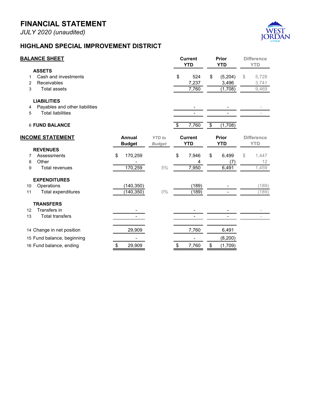*JULY 2020 (unaudited)*



#### **HIGHLAND SPECIAL IMPROVEMENT DISTRICT**

|    | <b>BALANCE SHEET</b>           |               |               | <b>Current</b><br><b>YTD</b> | Prior<br><b>YTD</b> |              | <b>Difference</b><br><b>YTD</b> |                   |
|----|--------------------------------|---------------|---------------|------------------------------|---------------------|--------------|---------------------------------|-------------------|
|    | <b>ASSETS</b>                  |               |               |                              |                     |              |                                 |                   |
|    | Cash and investments           |               |               | \$<br>524                    | \$                  | (5,204)      | \$                              | 5,728             |
| 2  | Receivables                    |               |               | 7,237                        |                     | 3,496        |                                 | 3,741             |
| 3  | <b>Total assets</b>            |               |               | 7,760                        |                     | (1,708)      |                                 | 9,469             |
|    | <b>LIABILITIES</b>             |               |               |                              |                     |              |                                 |                   |
| 4  | Payables and other liabilities |               |               |                              |                     |              |                                 |                   |
| 5  | <b>Total liabilities</b>       |               |               |                              |                     |              |                                 |                   |
|    | <b>6 FUND BALANCE</b>          |               |               | \$<br>7,760                  | \$                  | (1,708)      |                                 |                   |
|    | <b>INCOME STATEMENT</b>        | <b>Annual</b> | <b>YTD</b> to | <b>Current</b>               |                     | <b>Prior</b> |                                 | <b>Difference</b> |
|    |                                | <b>Budget</b> | <b>Budget</b> | <b>YTD</b>                   |                     | <b>YTD</b>   |                                 | <b>YTD</b>        |
|    | <b>REVENUES</b>                |               |               |                              |                     |              |                                 |                   |
| 7  | Assessments                    | \$<br>170,259 |               | \$<br>7,946                  | \$                  | 6,499        | \$                              | 1,447             |
| 8  | Other                          |               |               | 4                            |                     | (7)          |                                 | 12 <sup>2</sup>   |
| 9  | <b>Total revenues</b>          | 170,259       | 5%            | 7,950                        |                     | 6,491        |                                 | 1,459             |
|    | <b>EXPENDITURES</b>            |               |               |                              |                     |              |                                 |                   |
| 10 | Operations                     | (140, 350)    |               | (189)                        |                     |              |                                 | (189)             |
| 11 | <b>Total expenditures</b>      | (140, 350)    | 0%            | (189)                        |                     |              |                                 | 189)              |
|    | <b>TRANSFERS</b>               |               |               |                              |                     |              |                                 |                   |
| 12 | Transfers in                   |               |               |                              |                     |              |                                 |                   |
| 13 | <b>Total transfers</b>         |               |               |                              |                     |              |                                 |                   |
|    | 14 Change in net position      | 29,909        |               | 7,760                        |                     | 6,491        |                                 |                   |
|    | 15 Fund balance, beginning     |               |               |                              |                     | (8, 200)     |                                 |                   |
|    | 16 Fund balance, ending        | \$<br>29,909  |               | \$<br>7,760                  | \$                  | (1,709)      |                                 |                   |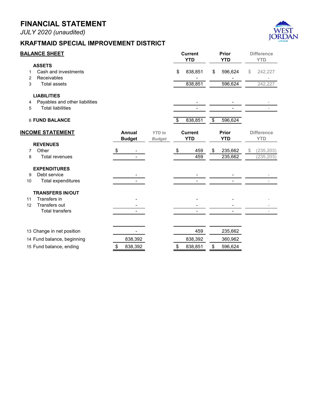*JULY 2020 (unaudited)*

#### **KRAFTMAID SPECIAL IMPROVEMENT DISTRICT**



|        | <u>BALANCE SHEET</u>                                       |                            |                          |                                | <b>Current</b><br><b>YTD</b> |                 | Prior<br><b>YTD</b> | <b>Difference</b><br><b>YTD</b> |
|--------|------------------------------------------------------------|----------------------------|--------------------------|--------------------------------|------------------------------|-----------------|---------------------|---------------------------------|
| 1<br>2 | <b>ASSETS</b><br>Cash and investments<br>Receivables       |                            |                          |                                | \$<br>838,851                | \$              | 596,624             | \$<br>242,227                   |
| 3      | <b>Total assets</b>                                        |                            |                          |                                | 838,851                      |                 | 596,624             | 242,227                         |
|        | <b>LIABILITIES</b>                                         |                            |                          |                                |                              |                 |                     |                                 |
| 4<br>5 | Payables and other liabilities<br><b>Total liabilities</b> |                            |                          |                                |                              |                 |                     |                                 |
|        | <b>6 FUND BALANCE</b>                                      |                            |                          |                                | \$<br>838,851                | $\overline{\$}$ | 596,624             |                                 |
|        | <b>INCOME STATEMENT</b>                                    |                            | Annual<br><b>Budget</b>  | <b>YTD</b> to<br><b>Budget</b> | <b>Current</b><br><b>YTD</b> |                 | Prior<br><b>YTD</b> | <b>Difference</b><br><b>YTD</b> |
| 7      | <b>REVENUES</b><br>Other                                   |                            |                          |                                | 459                          |                 |                     |                                 |
| 8      | Total revenues                                             | $\boldsymbol{\mathsf{\$}}$ |                          |                                | \$<br>459                    | \$              | 235,662<br>235,662  | \$<br>(235, 203)<br>(235, 203)  |
|        | <b>EXPENDITURES</b>                                        |                            |                          |                                |                              |                 |                     |                                 |
| 9      | Debt service                                               |                            |                          |                                |                              |                 |                     |                                 |
| 10     | Total expenditures                                         |                            | $\overline{\phantom{0}}$ |                                |                              |                 |                     |                                 |
|        | <b>TRANSFERS IN/OUT</b>                                    |                            |                          |                                |                              |                 |                     |                                 |
| 11     | Transfers in                                               |                            |                          |                                |                              |                 |                     |                                 |
| 12     | Transfers out                                              |                            |                          |                                |                              |                 |                     |                                 |
|        | <b>Total transfers</b>                                     |                            |                          |                                |                              |                 |                     |                                 |
|        | 13 Change in net position                                  |                            |                          |                                | 459                          |                 | 235,662             |                                 |
|        | 14 Fund balance, beginning                                 |                            | 838,392                  |                                | 838,392                      |                 | 360,962             |                                 |
|        | 15 Fund balance, ending                                    | \$                         | 838,392                  |                                | \$<br>838,851                | \$              | 596,624             |                                 |
|        |                                                            |                            |                          |                                |                              |                 |                     |                                 |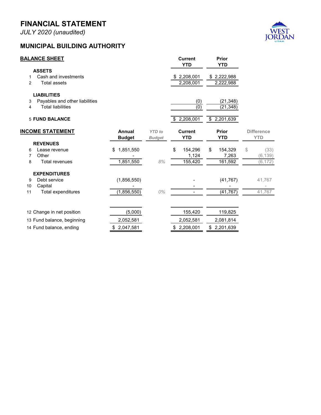*JULY 2020 (unaudited)*

#### **MUNICIPAL BUILDING AUTHORITY**



| <b>BALANCE SHEET</b>                  |                 |               | <b>Current</b><br><b>YTD</b> | Prior<br><b>YTD</b> |                   |
|---------------------------------------|-----------------|---------------|------------------------------|---------------------|-------------------|
| <b>ASSETS</b>                         |                 |               |                              |                     |                   |
| Cash and investments<br>1             |                 |               | \$2,208,001                  | 2,222,988<br>\$     |                   |
| <b>Total assets</b><br>$\overline{2}$ |                 |               | 2,208,001                    | 2,222,988           |                   |
| <b>LIABILITIES</b>                    |                 |               |                              |                     |                   |
| Payables and other liabilities<br>3   |                 |               | (0)                          | (21, 348)           |                   |
| <b>Total liabilities</b><br>4         |                 |               | (0)                          | (21, 348)           |                   |
| <b>5 FUND BALANCE</b>                 |                 |               | \$2,208,001                  | 2,201,639<br>\$     |                   |
| <b>INCOME STATEMENT</b>               | Annual          | <b>YTD</b> to | <b>Current</b>               | Prior               | <b>Difference</b> |
|                                       | <b>Budget</b>   | <b>Budget</b> | <b>YTD</b>                   | <b>YTD</b>          | <b>YTD</b>        |
| <b>REVENUES</b>                       |                 |               |                              |                     |                   |
| Lease revenue<br>6                    | 1,851,550<br>S  |               | \$<br>154,296                | \$<br>154,329       | \$<br>(33)        |
| Other<br>7                            |                 |               | 1,124                        | 7,263               | (6, 139)          |
| <b>Total revenues</b><br>8            | 1,851,550       | 8%            | 155,420                      | 161,592             | (6, 172)          |
| <b>EXPENDITURES</b>                   |                 |               |                              |                     |                   |
| Debt service<br>9                     | (1,856,550)     |               |                              | (41, 767)           | 41,767            |
| Capital<br>10                         |                 |               |                              |                     |                   |
| 11<br>Total expenditures              | (1,856,550)     | $0\%$         |                              | (41, 767)           | 41,767            |
|                                       |                 |               |                              |                     |                   |
| 12 Change in net position             | (5,000)         |               | 155,420                      | 119,825             |                   |
| 13 Fund balance, beginning            | 2,052,581       |               | 2,052,581                    | 2,081,814           |                   |
| 14 Fund balance, ending               | 2,047,581<br>\$ |               | \$2,208,001                  | 2,201,639<br>\$     |                   |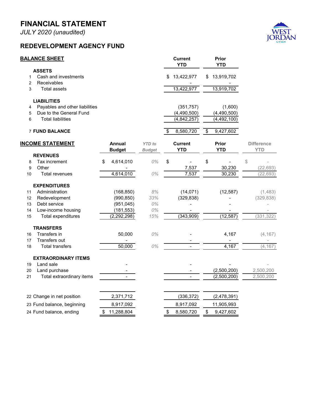*JULY 2020 (unaudited)*

#### **REDEVELOPMENT AGENCY FUND**



|                     | <b>BALANCE SHEET</b>                                |                  |               |     | <b>Current</b><br><b>YTD</b> |                                    | <b>Prior</b><br><b>YTD</b>   |                   |
|---------------------|-----------------------------------------------------|------------------|---------------|-----|------------------------------|------------------------------------|------------------------------|-------------------|
| $\mathbf{1}$        | <b>ASSETS</b><br>Cash and investments               |                  |               | \$. | 13,422,977                   | \$                                 | 13,919,702                   |                   |
| $\overline{2}$<br>3 | Receivables<br><b>Total assets</b>                  |                  |               |     | 13,422,977                   |                                    | 13,919,702                   |                   |
|                     | <b>LIABILITIES</b>                                  |                  |               |     |                              |                                    |                              |                   |
| 4                   | Payables and other liabilities                      |                  |               |     | (351, 757)                   |                                    | (1,600)                      |                   |
| 5<br>6              | Due to the General Fund<br><b>Total liabilities</b> |                  |               |     | (4,490,500)<br>(4,842,257)   |                                    | (4,490,500)<br>(4, 492, 100) |                   |
|                     | <b>7 FUND BALANCE</b>                               |                  |               | \$. | 8,580,720                    | $\overline{\boldsymbol{\epsilon}}$ | 9,427,602                    |                   |
|                     | <b>INCOME STATEMENT</b>                             | <b>Annual</b>    | <b>YTD</b> to |     | <b>Current</b>               |                                    | <b>Prior</b>                 | <b>Difference</b> |
|                     |                                                     | <b>Budget</b>    | <b>Budget</b> |     | <b>YTD</b>                   |                                    | <b>YTD</b>                   | <b>YTD</b>        |
| 8                   | <b>REVENUES</b><br>Tax increment                    | 4,614,010<br>\$  | 0%            | \$  |                              | \$                                 |                              | \$                |
| 9                   | Other                                               |                  |               |     | 7,537                        |                                    | 30,230                       | (22, 693)         |
| 10                  | <b>Total revenues</b>                               | 4,614,010        | $O\%$         |     | 7,537                        |                                    | 30,230                       | (22, 693)         |
|                     |                                                     |                  |               |     |                              |                                    |                              |                   |
|                     | <b>EXPENDITURES</b>                                 |                  |               |     |                              |                                    |                              |                   |
| 11                  | Administration                                      | (168, 850)       | $8\%$         |     | (14, 071)                    |                                    | (12, 587)                    | (1,483)           |
| 12                  | Redevelopment                                       | (990, 850)       | 33%           |     | (329, 838)                   |                                    |                              | (329, 838)        |
| 13                  | Debt service                                        | (951, 045)       | $0\%$         |     |                              |                                    |                              |                   |
| 14                  | Low-income housing                                  | (181, 553)       | $O\%$         |     |                              |                                    |                              |                   |
| 15                  | Total expenditures                                  | (2, 292, 298)    | 15%           |     | (343,909)                    |                                    | (12, 587)                    | (331, 322)        |
|                     | <b>TRANSFERS</b>                                    |                  |               |     |                              |                                    |                              |                   |
| 16                  | Transfers in                                        | 50,000           | 0%            |     |                              |                                    | 4,167                        | (4, 167)          |
| 17                  | Transfers out                                       |                  |               |     |                              |                                    |                              |                   |
| 18                  | <b>Total transfers</b>                              | 50,000           | 0%            |     |                              |                                    | 4,167                        | (4, 167)          |
|                     | <b>EXTRAORDINARY ITEMS</b>                          |                  |               |     |                              |                                    |                              |                   |
| 19                  | Land sale                                           |                  |               |     |                              |                                    |                              |                   |
| 20                  | Land purchase                                       |                  |               |     |                              |                                    | (2,500,200)                  | 2,500,200         |
| 21                  | Total extraordinary items                           |                  |               |     | $\frac{1}{2}$                |                                    | (2,500,200)                  | 2,500,200         |
|                     | 22 Change in net position                           | 2,371,712        |               |     | (336, 372)                   |                                    | (2,478,391)                  |                   |
|                     | 23 Fund balance, beginning                          | 8,917,092        |               |     | 8,917,092                    |                                    | 11,905,993                   |                   |
|                     | 24 Fund balance, ending                             | \$<br>11,288,804 |               | \$  | 8,580,720                    | \$                                 | 9,427,602                    |                   |
|                     |                                                     |                  |               |     |                              |                                    |                              |                   |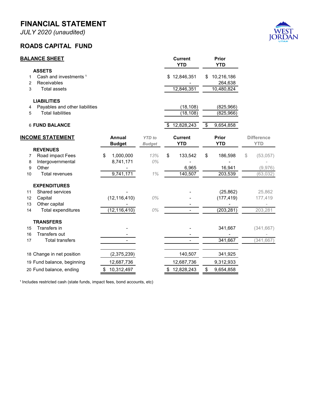*JULY 2020 (unaudited)*

#### **ROADS CAPITAL FUND**



| <b>ASSETS</b><br>Cash and investments <sup>1</sup><br>\$12,846,351<br>10,216,186<br>\$<br>1<br>Receivables<br>264,638<br>2<br>12,846,351<br><b>Total assets</b><br>10,480,824<br>3<br><b>LIABILITIES</b><br>Payables and other liabilities<br>(18, 108)<br>(825, 966)<br>4<br>(18, 108)<br>(825, 966)<br><b>Total liabilities</b><br>5<br>12,828,243<br><b>6 FUND BALANCE</b><br>9,654,858<br>\$<br><b>INCOME STATEMENT</b><br><b>Annual</b><br><b>Current</b><br><b>Prior</b><br><b>Difference</b><br><b>YTD</b> to<br><b>YTD</b><br><b>YTD</b><br><b>YTD</b><br><b>Budget</b><br><b>Budget</b><br><b>REVENUES</b><br>\$<br>Road impact Fees<br>\$<br>1,000,000<br>13%<br>133,542<br>\$<br>\$<br>186,598<br>(53,057)<br>7<br>8,741,171<br>0%<br>Intergovernmental<br>8<br>Other<br>6,965<br>16,941<br>(9,976)<br>9<br>9,741,171<br>1%<br>140,507<br>203,539<br>10<br>Total revenues<br>(63, 032)<br><b>EXPENDITURES</b><br>Shared services<br>(25, 862)<br>25,862<br>11<br>(12, 116, 410)<br>0%<br>Capital<br>(177, 419)<br>12<br>177,419<br>Other capital<br>13<br>(12, 116, 410)<br>0%<br>(203, 281)<br>203,281<br>14<br>Total expenditures<br><b>TRANSFERS</b><br>Transfers in<br>341,667<br>(341, 667)<br>15<br>Transfers out<br>16<br>341,667<br>(341, 667)<br><b>Total transfers</b><br>17<br>140,507<br>18 Change in net position<br>(2,375,239)<br>341,925<br>12,687,736<br>19 Fund balance, beginning<br>12,687,736<br>9,312,933<br>\$10,312,497<br>\$12,828,243<br>\$<br>20 Fund balance, ending<br>9,654,858 | <b>BALANCE SHEET</b> |  | <b>Current</b><br><b>YTD</b> | Prior<br><b>YTD</b> |  |
|--------------------------------------------------------------------------------------------------------------------------------------------------------------------------------------------------------------------------------------------------------------------------------------------------------------------------------------------------------------------------------------------------------------------------------------------------------------------------------------------------------------------------------------------------------------------------------------------------------------------------------------------------------------------------------------------------------------------------------------------------------------------------------------------------------------------------------------------------------------------------------------------------------------------------------------------------------------------------------------------------------------------------------------------------------------------------------------------------------------------------------------------------------------------------------------------------------------------------------------------------------------------------------------------------------------------------------------------------------------------------------------------------------------------------------------------------------------------------------------------------------------------------|----------------------|--|------------------------------|---------------------|--|
|                                                                                                                                                                                                                                                                                                                                                                                                                                                                                                                                                                                                                                                                                                                                                                                                                                                                                                                                                                                                                                                                                                                                                                                                                                                                                                                                                                                                                                                                                                                          |                      |  |                              |                     |  |
|                                                                                                                                                                                                                                                                                                                                                                                                                                                                                                                                                                                                                                                                                                                                                                                                                                                                                                                                                                                                                                                                                                                                                                                                                                                                                                                                                                                                                                                                                                                          |                      |  |                              |                     |  |
|                                                                                                                                                                                                                                                                                                                                                                                                                                                                                                                                                                                                                                                                                                                                                                                                                                                                                                                                                                                                                                                                                                                                                                                                                                                                                                                                                                                                                                                                                                                          |                      |  |                              |                     |  |
|                                                                                                                                                                                                                                                                                                                                                                                                                                                                                                                                                                                                                                                                                                                                                                                                                                                                                                                                                                                                                                                                                                                                                                                                                                                                                                                                                                                                                                                                                                                          |                      |  |                              |                     |  |
|                                                                                                                                                                                                                                                                                                                                                                                                                                                                                                                                                                                                                                                                                                                                                                                                                                                                                                                                                                                                                                                                                                                                                                                                                                                                                                                                                                                                                                                                                                                          |                      |  |                              |                     |  |
|                                                                                                                                                                                                                                                                                                                                                                                                                                                                                                                                                                                                                                                                                                                                                                                                                                                                                                                                                                                                                                                                                                                                                                                                                                                                                                                                                                                                                                                                                                                          |                      |  |                              |                     |  |
|                                                                                                                                                                                                                                                                                                                                                                                                                                                                                                                                                                                                                                                                                                                                                                                                                                                                                                                                                                                                                                                                                                                                                                                                                                                                                                                                                                                                                                                                                                                          |                      |  |                              |                     |  |
|                                                                                                                                                                                                                                                                                                                                                                                                                                                                                                                                                                                                                                                                                                                                                                                                                                                                                                                                                                                                                                                                                                                                                                                                                                                                                                                                                                                                                                                                                                                          |                      |  |                              |                     |  |
|                                                                                                                                                                                                                                                                                                                                                                                                                                                                                                                                                                                                                                                                                                                                                                                                                                                                                                                                                                                                                                                                                                                                                                                                                                                                                                                                                                                                                                                                                                                          |                      |  |                              |                     |  |
|                                                                                                                                                                                                                                                                                                                                                                                                                                                                                                                                                                                                                                                                                                                                                                                                                                                                                                                                                                                                                                                                                                                                                                                                                                                                                                                                                                                                                                                                                                                          |                      |  |                              |                     |  |
|                                                                                                                                                                                                                                                                                                                                                                                                                                                                                                                                                                                                                                                                                                                                                                                                                                                                                                                                                                                                                                                                                                                                                                                                                                                                                                                                                                                                                                                                                                                          |                      |  |                              |                     |  |
|                                                                                                                                                                                                                                                                                                                                                                                                                                                                                                                                                                                                                                                                                                                                                                                                                                                                                                                                                                                                                                                                                                                                                                                                                                                                                                                                                                                                                                                                                                                          |                      |  |                              |                     |  |
|                                                                                                                                                                                                                                                                                                                                                                                                                                                                                                                                                                                                                                                                                                                                                                                                                                                                                                                                                                                                                                                                                                                                                                                                                                                                                                                                                                                                                                                                                                                          |                      |  |                              |                     |  |
|                                                                                                                                                                                                                                                                                                                                                                                                                                                                                                                                                                                                                                                                                                                                                                                                                                                                                                                                                                                                                                                                                                                                                                                                                                                                                                                                                                                                                                                                                                                          |                      |  |                              |                     |  |
|                                                                                                                                                                                                                                                                                                                                                                                                                                                                                                                                                                                                                                                                                                                                                                                                                                                                                                                                                                                                                                                                                                                                                                                                                                                                                                                                                                                                                                                                                                                          |                      |  |                              |                     |  |
|                                                                                                                                                                                                                                                                                                                                                                                                                                                                                                                                                                                                                                                                                                                                                                                                                                                                                                                                                                                                                                                                                                                                                                                                                                                                                                                                                                                                                                                                                                                          |                      |  |                              |                     |  |
|                                                                                                                                                                                                                                                                                                                                                                                                                                                                                                                                                                                                                                                                                                                                                                                                                                                                                                                                                                                                                                                                                                                                                                                                                                                                                                                                                                                                                                                                                                                          |                      |  |                              |                     |  |
|                                                                                                                                                                                                                                                                                                                                                                                                                                                                                                                                                                                                                                                                                                                                                                                                                                                                                                                                                                                                                                                                                                                                                                                                                                                                                                                                                                                                                                                                                                                          |                      |  |                              |                     |  |
|                                                                                                                                                                                                                                                                                                                                                                                                                                                                                                                                                                                                                                                                                                                                                                                                                                                                                                                                                                                                                                                                                                                                                                                                                                                                                                                                                                                                                                                                                                                          |                      |  |                              |                     |  |
|                                                                                                                                                                                                                                                                                                                                                                                                                                                                                                                                                                                                                                                                                                                                                                                                                                                                                                                                                                                                                                                                                                                                                                                                                                                                                                                                                                                                                                                                                                                          |                      |  |                              |                     |  |
|                                                                                                                                                                                                                                                                                                                                                                                                                                                                                                                                                                                                                                                                                                                                                                                                                                                                                                                                                                                                                                                                                                                                                                                                                                                                                                                                                                                                                                                                                                                          |                      |  |                              |                     |  |
|                                                                                                                                                                                                                                                                                                                                                                                                                                                                                                                                                                                                                                                                                                                                                                                                                                                                                                                                                                                                                                                                                                                                                                                                                                                                                                                                                                                                                                                                                                                          |                      |  |                              |                     |  |
|                                                                                                                                                                                                                                                                                                                                                                                                                                                                                                                                                                                                                                                                                                                                                                                                                                                                                                                                                                                                                                                                                                                                                                                                                                                                                                                                                                                                                                                                                                                          |                      |  |                              |                     |  |
|                                                                                                                                                                                                                                                                                                                                                                                                                                                                                                                                                                                                                                                                                                                                                                                                                                                                                                                                                                                                                                                                                                                                                                                                                                                                                                                                                                                                                                                                                                                          |                      |  |                              |                     |  |
|                                                                                                                                                                                                                                                                                                                                                                                                                                                                                                                                                                                                                                                                                                                                                                                                                                                                                                                                                                                                                                                                                                                                                                                                                                                                                                                                                                                                                                                                                                                          |                      |  |                              |                     |  |
|                                                                                                                                                                                                                                                                                                                                                                                                                                                                                                                                                                                                                                                                                                                                                                                                                                                                                                                                                                                                                                                                                                                                                                                                                                                                                                                                                                                                                                                                                                                          |                      |  |                              |                     |  |
|                                                                                                                                                                                                                                                                                                                                                                                                                                                                                                                                                                                                                                                                                                                                                                                                                                                                                                                                                                                                                                                                                                                                                                                                                                                                                                                                                                                                                                                                                                                          |                      |  |                              |                     |  |

<sup>1</sup> Includes restricted cash (state funds, impact fees, bond accounts, etc)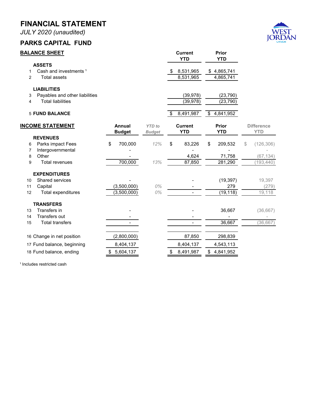*JULY 2020 (unaudited)*

#### **PARKS CAPITAL FUND**



| <b>ASSETS</b><br>Cash and investments <sup>1</sup><br>8,531,965<br>\$4,865,741<br>\$<br>1<br>8,531,965<br><b>Total assets</b><br>4,865,741<br>$\overline{2}$<br><b>LIABILITIES</b><br>Payables and other liabilities<br>(39, 978)<br>(23, 790)<br>3<br><b>Total liabilities</b><br>(39, 978)<br>(23, 790)<br>4 |                 |
|----------------------------------------------------------------------------------------------------------------------------------------------------------------------------------------------------------------------------------------------------------------------------------------------------------------|-----------------|
|                                                                                                                                                                                                                                                                                                                |                 |
|                                                                                                                                                                                                                                                                                                                |                 |
| <b>5 FUND BALANCE</b><br>8,491,987<br>\$<br>4,841,952<br>\$                                                                                                                                                                                                                                                    |                 |
| <b>INCOME STATEMENT</b><br>Annual<br><b>YTD</b> to<br><b>Current</b><br><b>Prior</b><br><b>Difference</b><br><b>YTD</b><br><b>YTD</b><br><b>YTD</b><br><b>Budget</b><br><b>Budget</b>                                                                                                                          |                 |
| <b>REVENUES</b>                                                                                                                                                                                                                                                                                                |                 |
| 700,000<br>12%<br>\$<br>Parks impact Fees<br>\$<br>83,226<br>209,532<br>(126, 306)<br>\$<br>\$<br>6                                                                                                                                                                                                            |                 |
| Intergovernmental<br>7<br>Other                                                                                                                                                                                                                                                                                |                 |
| 4,624<br>71,758<br>8<br>700,000<br><b>Total revenues</b><br>13%<br>87,850<br>281,290<br>(193, 440)<br>9                                                                                                                                                                                                        | (67, 134)       |
|                                                                                                                                                                                                                                                                                                                |                 |
| <b>EXPENDITURES</b>                                                                                                                                                                                                                                                                                            |                 |
| Shared services<br>(19, 397)<br>10                                                                                                                                                                                                                                                                             | 19,397          |
| (3,500,000)<br>0%<br>279<br>11<br>Capital<br>(19, 118)<br>$O\%$<br>(3,500,000)<br>12<br>Total expenditures                                                                                                                                                                                                     | (279)<br>19,118 |
|                                                                                                                                                                                                                                                                                                                |                 |
| <b>TRANSFERS</b>                                                                                                                                                                                                                                                                                               |                 |
| Transfers in<br>36,667<br>13                                                                                                                                                                                                                                                                                   | (36, 667)       |
| Transfers out<br>14                                                                                                                                                                                                                                                                                            |                 |
| 36,667<br><b>Total transfers</b><br>15                                                                                                                                                                                                                                                                         | (36, 667)       |
| 16 Change in net position<br>(2,800,000)<br>87,850<br>298,839                                                                                                                                                                                                                                                  |                 |
| 17 Fund balance, beginning<br>8,404,137<br>8,404,137<br>4,543,113                                                                                                                                                                                                                                              |                 |
| 18 Fund balance, ending<br>\$<br>5,604,137<br>8,491,987<br>\$4,841,952<br>\$                                                                                                                                                                                                                                   |                 |

<sup>1</sup> Includes restricted cash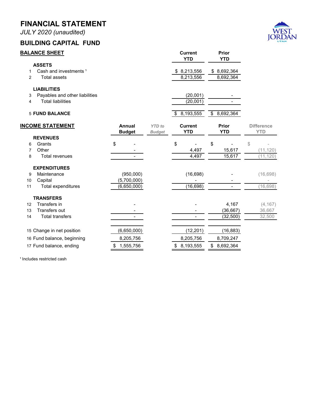*JULY 2020 (unaudited)*

#### **BUILDING CAPITAL FUND**



|        | <b>BALANCE SHEET</b>                                       |                         |                                | <b>Current</b><br><b>YTD</b> | <b>Prior</b><br><b>YTD</b> |                                 |
|--------|------------------------------------------------------------|-------------------------|--------------------------------|------------------------------|----------------------------|---------------------------------|
| 1      | <b>ASSETS</b><br>Cash and investments <sup>1</sup>         |                         |                                | \$8,213,556                  | \$8,692,364                |                                 |
| 2      | <b>Total assets</b>                                        |                         |                                | 8,213,556                    | 8,692,364                  |                                 |
|        | <b>LIABILITIES</b>                                         |                         |                                |                              |                            |                                 |
| 3<br>4 | Payables and other liabilities<br><b>Total liabilities</b> |                         |                                | (20,001)<br>(20,001)         |                            |                                 |
|        | <b>5 FUND BALANCE</b>                                      |                         |                                | \$8,193,555                  | \$8,692,364                |                                 |
|        | <b>INCOME STATEMENT</b>                                    | Annual<br><b>Budget</b> | <b>YTD</b> to<br><b>Budget</b> | <b>Current</b><br><b>YTD</b> | <b>Prior</b><br><b>YTD</b> | <b>Difference</b><br><b>YTD</b> |
|        | <b>REVENUES</b>                                            |                         |                                |                              |                            |                                 |
| 6      | Grants                                                     | \$                      |                                | \$                           | \$                         | \$                              |
| 7      | Other                                                      |                         |                                | 4,497                        | 15,617                     | (11, 120)                       |
| 8      | <b>Total revenues</b>                                      | $\blacksquare$          |                                | 4,497                        | 15,617                     | (11, 120)                       |
|        | <b>EXPENDITURES</b>                                        |                         |                                |                              |                            |                                 |
| 9      | Maintenance                                                | (950,000)               |                                | (16, 698)                    |                            | (16, 698)                       |
| 10     | Capital                                                    | (5,700,000)             |                                |                              |                            |                                 |
| 11     | Total expenditures                                         | (6,650,000)             |                                | (16, 698)                    |                            | (16, 698)                       |
|        | <b>TRANSFERS</b>                                           |                         |                                |                              |                            |                                 |
| 12     | Transfers in                                               |                         |                                |                              | 4,167                      | (4, 167)                        |
| 13     | <b>Transfers out</b>                                       |                         |                                |                              | (36, 667)                  | 36,667                          |
| 14     | <b>Total transfers</b>                                     |                         |                                |                              | (32, 500)                  | 32,500                          |
|        | 15 Change in net position                                  | (6,650,000)             |                                | (12, 201)                    | (16, 883)                  |                                 |
|        | 16 Fund balance, beginning                                 | 8,205,756               |                                | 8,205,756                    | 8,709,247                  |                                 |
|        | 17 Fund balance, ending                                    | \$<br>1,555,756         |                                | \$8,193,555                  | \$8,692,364                |                                 |
|        |                                                            |                         |                                |                              |                            |                                 |

<sup>1</sup> Includes restricted cash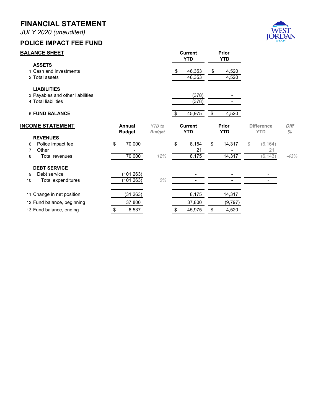*JULY 2020 (unaudited)*

#### **POLICE IMPACT FEE FUND**



| <b>BALANCE SHEET</b>                                   |                         |                                | <b>Current</b><br><b>YTD</b> |                         | Prior<br><b>YTD</b> |                                 |                     |
|--------------------------------------------------------|-------------------------|--------------------------------|------------------------------|-------------------------|---------------------|---------------------------------|---------------------|
| <b>ASSETS</b><br>1 Cash and investments                |                         |                                | \$<br>46,353                 | \$                      | 4,520               |                                 |                     |
| 2 Total assets                                         |                         |                                | 46,353                       |                         | 4,520               |                                 |                     |
| <b>LIABILITIES</b><br>3 Payables and other liabilities |                         |                                | (378)                        |                         |                     |                                 |                     |
| 4 Total liabilities                                    |                         |                                | (378)                        |                         |                     |                                 |                     |
| <b>5 FUND BALANCE</b>                                  |                         |                                | \$<br>45,975                 | $\overline{\mathbf{3}}$ | 4,520               |                                 |                     |
| <b>INCOME STATEMENT</b>                                | Annual<br><b>Budget</b> | <b>YTD</b> to<br><b>Budget</b> | <b>Current</b><br><b>YTD</b> |                         | Prior<br><b>YTD</b> | <b>Difference</b><br><b>YTD</b> | <b>Diff</b><br>$\%$ |
| <b>REVENUES</b>                                        |                         |                                |                              |                         |                     |                                 |                     |
| Police impact fee<br>6                                 | \$<br>70,000            |                                | \$<br>8,154                  | \$                      | 14,317              | \$<br>(6, 164)                  |                     |
| Other<br>7                                             |                         |                                | 21                           |                         |                     | 21                              |                     |
| <b>Total revenues</b><br>8                             | 70,000                  | 12%                            | 8,175                        |                         | 14,317              | (6, 143)                        | $-43%$              |
| <b>DEBT SERVICE</b>                                    |                         |                                |                              |                         |                     |                                 |                     |
| Debt service<br>9                                      | (101, 263)              |                                |                              |                         |                     |                                 |                     |
| Total expenditures<br>10                               | (101, 263)              | $O\%$                          | $\overline{\phantom{0}}$     |                         |                     | $\overline{\phantom{a}}$        |                     |
| 11 Change in net position                              | (31, 263)               |                                | 8,175                        |                         | 14,317              |                                 |                     |
| 12 Fund balance, beginning                             | 37,800                  |                                | 37,800                       |                         | (9,797)             |                                 |                     |
| 13 Fund balance, ending                                | \$<br>6,537             |                                | \$<br>45,975                 | \$                      | 4,520               |                                 |                     |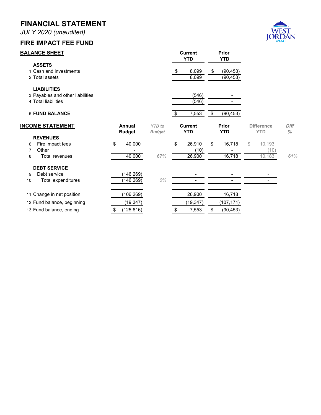*JULY 2020 (unaudited)*

# **FIRE IMPACT FEE FUND**



|    | <b>BALANCE SHEET</b>                                                          |    |                         |                                | <b>Current</b><br><b>YTD</b> |                              | Prior<br><b>YTD</b>          |                                 |                     |
|----|-------------------------------------------------------------------------------|----|-------------------------|--------------------------------|------------------------------|------------------------------|------------------------------|---------------------------------|---------------------|
|    | <b>ASSETS</b><br>1 Cash and investments<br>2 Total assets                     |    |                         |                                | \$                           | 8,099<br>8,099               | \$<br>(90, 453)<br>(90, 453) |                                 |                     |
|    | <b>LIABILITIES</b><br>3 Payables and other liabilities<br>4 Total liabilities |    |                         |                                |                              | (546)<br>(546)               |                              |                                 |                     |
|    | <b>5 FUND BALANCE</b>                                                         |    |                         |                                | \$                           | 7,553                        | \$<br>(90, 453)              |                                 |                     |
|    | <b>INCOME STATEMENT</b>                                                       |    | Annual<br><b>Budget</b> | <b>YTD</b> to<br><b>Budget</b> |                              | <b>Current</b><br><b>YTD</b> | <b>Prior</b><br><b>YTD</b>   | <b>Difference</b><br><b>YTD</b> | <b>Diff</b><br>$\%$ |
|    | <b>REVENUES</b>                                                               |    |                         |                                |                              |                              |                              |                                 |                     |
| 6  | Fire impact fees                                                              | \$ | 40,000                  |                                | \$                           | 26,910                       | \$<br>16,718                 | \$<br>10,193                    |                     |
| 7  | Other                                                                         |    |                         |                                |                              | (10)                         |                              | (10)                            |                     |
| 8  | <b>Total revenues</b>                                                         |    | 40,000                  | 67%                            |                              | 26,900                       | 16,718                       | 10,183                          | 61%                 |
|    | <b>DEBT SERVICE</b>                                                           |    |                         |                                |                              |                              |                              |                                 |                     |
| 9  | Debt service                                                                  |    | (146, 269)              |                                |                              |                              |                              |                                 |                     |
| 10 | Total expenditures                                                            |    | (146, 269)              | $0\%$                          |                              |                              |                              | $\overline{\phantom{0}}$        |                     |
|    | 11 Change in net position                                                     |    | (106, 269)              |                                |                              | 26,900                       | 16,718                       |                                 |                     |
|    | 12 Fund balance, beginning                                                    |    | (19, 347)               |                                |                              | (19, 347)                    | (107,171)                    |                                 |                     |
|    | 13 Fund balance, ending                                                       | \$ | (125, 616)              |                                | \$                           | 7,553                        | (90, 453)                    |                                 |                     |
|    |                                                                               |    |                         |                                |                              |                              |                              |                                 |                     |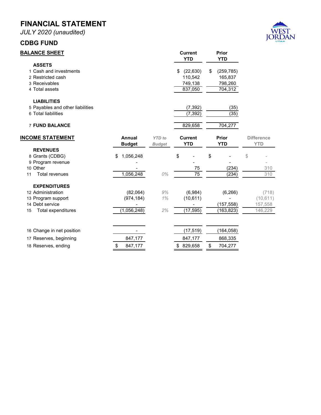*JULY 2020 (unaudited)*

#### **CDBG FUND**



| <b>BALANCE SHEET</b>                                                                                          |                                       |                                | <b>Current</b><br><b>YTD</b>                 | <b>Prior</b><br><b>YTD</b>                        |                                          |
|---------------------------------------------------------------------------------------------------------------|---------------------------------------|--------------------------------|----------------------------------------------|---------------------------------------------------|------------------------------------------|
| <b>ASSETS</b><br>1 Cash and investments<br>2 Restricted cash<br>3 Receivables<br>4 Total assets               |                                       |                                | \$ (22,630)<br>110,542<br>749,138<br>837,050 | \$<br>(259, 785)<br>165,837<br>798,260<br>704,312 |                                          |
| <b>LIABILITIES</b><br>5 Payables and other liabilities<br>6 Total liabilities                                 |                                       |                                | (7, 392)<br>(7, 392)                         | (35)<br>(35)                                      |                                          |
| <b>7 FUND BALANCE</b>                                                                                         |                                       |                                | 829,658                                      | 704,277                                           |                                          |
| <b>INCOME STATEMENT</b>                                                                                       | <b>Annual</b><br><b>Budget</b>        | <b>YTD</b> to<br><b>Budget</b> | <b>Current</b><br><b>YTD</b>                 | Prior<br><b>YTD</b>                               | <b>Difference</b><br><b>YTD</b>          |
| <b>REVENUES</b><br>8 Grants (CDBG)<br>9 Program revenue<br>10 Other                                           | 1,056,248<br>\$                       |                                | \$                                           | \$                                                | \$                                       |
| <b>Total revenues</b><br>11                                                                                   | 1,056,248                             | 0%                             | 75<br>$\overline{75}$                        | (234)<br>(234)                                    | 310<br>310                               |
| <b>EXPENDITURES</b><br>12 Administration<br>13 Program support<br>14 Debt service<br>Total expenditures<br>15 | (82,064)<br>(974, 184)<br>(1,056,248) | 9%<br>1%<br>2%                 | (6,984)<br>(10, 611)<br>(17, 595)            | (6, 266)<br>(157, 558)<br>(163, 823)              | (718)<br>(10, 611)<br>157,558<br>146,229 |
| 16 Change in net position                                                                                     |                                       |                                | (17, 519)                                    | (164, 058)                                        |                                          |
| 17 Reserves, beginning                                                                                        | 847,177                               |                                | 847,177                                      | 868,335<br>\$                                     |                                          |
| 18 Reserves, ending                                                                                           | \$<br>847,177                         |                                | \$ 829,658                                   | 704,277                                           |                                          |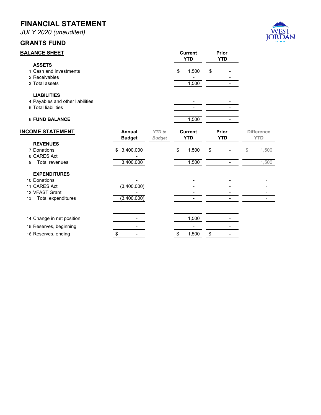*JULY 2020 (unaudited)*

# **GRANTS FUND**



| <b>BALANCE SHEET</b>                                                          |                                |                                | <b>Current</b><br><b>YTD</b> | <b>Prior</b><br><b>YTD</b> |                                 |
|-------------------------------------------------------------------------------|--------------------------------|--------------------------------|------------------------------|----------------------------|---------------------------------|
| <b>ASSETS</b><br>1 Cash and investments                                       |                                |                                | \$<br>1,500                  | \$                         |                                 |
| 2 Receivables<br>3 Total assets                                               |                                |                                | 1,500                        |                            |                                 |
| <b>LIABILITIES</b><br>4 Payables and other liabilities<br>5 Total liabilities |                                |                                |                              |                            |                                 |
| <b>6 FUND BALANCE</b>                                                         |                                |                                | 1,500                        |                            |                                 |
| <b>INCOME STATEMENT</b>                                                       | <b>Annual</b><br><b>Budget</b> | <b>YTD</b> to<br><b>Budget</b> | <b>Current</b><br><b>YTD</b> | Prior<br><b>YTD</b>        | <b>Difference</b><br><b>YTD</b> |
| <b>REVENUES</b>                                                               |                                |                                |                              |                            |                                 |
| 7 Donations<br>8 CARES Act                                                    | 3,400,000<br>\$                |                                | \$<br>1,500                  | \$                         | \$<br>1,500                     |
| <b>Total revenues</b><br>9                                                    | 3,400,000                      |                                | 1,500                        |                            | 1,500                           |
| <b>EXPENDITURES</b>                                                           |                                |                                |                              |                            |                                 |
| 10 Donations                                                                  |                                |                                |                              |                            |                                 |
| 11 CARES Act                                                                  | (3,400,000)                    |                                |                              |                            |                                 |
| 12 VFAST Grant                                                                |                                |                                |                              |                            |                                 |
| Total expenditures<br>13                                                      | (3,400,000)                    |                                |                              |                            |                                 |
| 14 Change in net position                                                     |                                |                                | 1,500                        |                            |                                 |
| 15 Reserves, beginning                                                        |                                |                                |                              |                            |                                 |
| 16 Reserves, ending                                                           | \$                             |                                | \$<br>1,500                  | \$                         |                                 |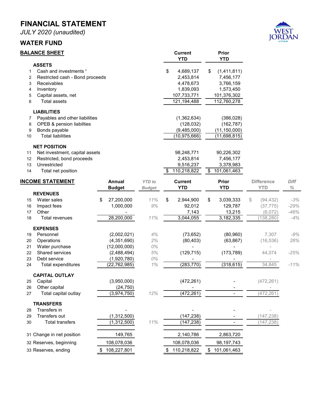*JULY 2020 (unaudited)*

#### **WATER FUND**



|        | <b>BALANCE SHEET</b>                       |                  |               | <b>Current</b>    |                         | Prior                      |                   |             |
|--------|--------------------------------------------|------------------|---------------|-------------------|-------------------------|----------------------------|-------------------|-------------|
|        |                                            |                  |               | <b>YTD</b>        |                         | <b>YTD</b>                 |                   |             |
|        | <b>ASSETS</b>                              |                  |               |                   |                         |                            |                   |             |
| 1      | Cash and investments <sup>1</sup>          |                  |               | \$<br>4,689,137   | \$                      | (1,411,811)                |                   |             |
| 2      | Restricted cash - Bond proceeds            |                  |               | 2,453,814         |                         | 7,456,177                  |                   |             |
| 3      | Receivables                                |                  |               | 4,478,673         |                         | 3,766,159                  |                   |             |
| 4      | Inventory                                  |                  |               | 1,839,093         |                         | 1,573,450                  |                   |             |
| 5<br>6 | Capital assets, net<br><b>Total assets</b> |                  |               | 107,733,771       |                         | 101,376,302<br>112,760,278 |                   |             |
|        |                                            |                  |               | 121,194,488       |                         |                            |                   |             |
|        | <b>LIABILITIES</b>                         |                  |               |                   |                         |                            |                   |             |
| 7      | Payables and other liabilities             |                  |               | (1,362,634)       |                         | (386, 028)                 |                   |             |
| 8      | OPEB & pension liabilties                  |                  |               | (128, 032)        |                         | (162, 787)                 |                   |             |
| 9      | Bonds payable<br><b>Total liabilities</b>  |                  |               | (9,485,000)       |                         | (11, 150, 000)             |                   |             |
| 10     |                                            |                  |               | (10, 975, 666)    |                         | (11,698,815)               |                   |             |
|        | <b>NET POSITION</b>                        |                  |               |                   |                         |                            |                   |             |
| 11     | Net investment, capital assets             |                  |               | 98,248,771        |                         | 90,226,302                 |                   |             |
| 12     | Restricted, bond proceeds                  |                  |               | 2,453,814         |                         | 7,456,177                  |                   |             |
| 13     | Unrestricted                               |                  |               | 9,516,237         |                         | 3,378,983                  |                   |             |
| 14     | Total net position                         |                  |               | \$<br>110,218,822 | $\overline{\mathbf{3}}$ | 101,061,463                |                   |             |
|        | <b>INCOME STATEMENT</b>                    | Annual           | <b>YTD</b> to | <b>Current</b>    |                         | <b>Prior</b>               | <b>Difference</b> | <b>Diff</b> |
|        |                                            | <b>Budget</b>    | <b>Budget</b> | <b>YTD</b>        |                         | <b>YTD</b>                 | <b>YTD</b>        | $\%$        |
|        | <b>REVENUES</b>                            |                  |               |                   |                         |                            |                   |             |
| 15     | Water sales                                | 27,200,000<br>\$ | 11%           | \$<br>2,944,900   | \$                      | 3,039,333                  | \$<br>(94, 432)   | $-3%$       |
| 16     | Impact fees                                | 1,000,000        | 9%            | 92,012            |                         | 129,787                    | (37, 775)         | $-29%$      |
| 17     | Other                                      |                  |               | 7,143             |                         | 13,215                     | (6,072)           | $-46%$      |
| 18     | <b>Total revenues</b>                      | 28,200,000       | 11%           | 3,044,055         |                         | 3,182,335                  | (138, 280)        | $-4%$       |
|        | <b>EXPENSES</b>                            |                  |               |                   |                         |                            |                   |             |
| 19     | Personnel                                  | (2,002,021)      | 4%            | (73, 652)         |                         | (80, 960)                  | 7,307             | $-9%$       |
| 20     | Operations                                 | (4,351,690)      | 2%            | (80, 403)         |                         | (63, 867)                  | (16, 536)         | 26%         |
| 21     | Water purchase                             | (12,000,000)     | 0%            |                   |                         |                            |                   |             |
| 22     | Shared services                            | (2,488,494)      | 5%            | (129, 715)        |                         | (173, 789)                 | 44,074            | $-25%$      |
| 23     | Debt service                               | (1,920,780)      | 0%            |                   |                         |                            |                   |             |
| 24     | Total expenditures                         | (22,762,985)     | 1%            | (283, 770)        |                         | (318, 615)                 | 34,845            | $-11%$      |
|        | <b>CAPITAL OUTLAY</b>                      |                  |               |                   |                         |                            |                   |             |
| 25     | Capital                                    | (3,950,000)      |               | (472, 261)        |                         |                            | (472, 261)        |             |
| 26     | Other capital                              | (24, 750)        |               |                   |                         |                            |                   |             |
| 27     | Total capital outlay                       | (3,974,750)      | 12%           | (472, 261)        |                         |                            | (472, 261)        |             |
|        | <b>TRANSFERS</b>                           |                  |               |                   |                         |                            |                   |             |
| 28     | Transfers in                               |                  |               |                   |                         |                            |                   |             |
| 29     | Transfers out                              | (1,312,500)      |               | (147, 238)        |                         |                            | (147, 238)        |             |
| 30     | <b>Total transfers</b>                     | (1, 312, 500)    | 11%           | (147, 238)        |                         |                            | (147, 238)        |             |
|        |                                            |                  |               |                   |                         |                            |                   |             |
|        | 31 Change in net position                  | 149,765          |               | 2,140,786         |                         | 2,863,720                  |                   |             |
|        | 32 Reserves, beginning                     | 108,078,036      |               | 108,078,036       |                         | 98,197,743                 |                   |             |
|        | 33 Reserves, ending                        | \$108,227,801    |               | \$110,218,822     |                         | \$101,061,463              |                   |             |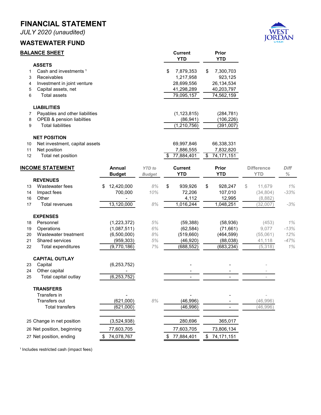*JULY 2020 (unaudited)*

#### **WASTEWATER FUND**



|                       | <b>BALANCE SHEET</b>                                                                                                                           |                                                           |                                | <b>Current</b><br><b>YTD</b>                                           | Prior<br><b>YTD</b>                                                  |                                                  |                               |
|-----------------------|------------------------------------------------------------------------------------------------------------------------------------------------|-----------------------------------------------------------|--------------------------------|------------------------------------------------------------------------|----------------------------------------------------------------------|--------------------------------------------------|-------------------------------|
| 1<br>3<br>4<br>5<br>6 | <b>ASSETS</b><br>Cash and investments <sup>1</sup><br>Receivables<br>Investment in joint venture<br>Capital assets, net<br><b>Total assets</b> |                                                           |                                | 7,879,353<br>\$<br>1,217,958<br>28,699,556<br>41,298,289<br>79,095,157 | 7,300,703<br>\$<br>923,125<br>26,134,534<br>40,203,797<br>74,562,159 |                                                  |                               |
| 7<br>8<br>9           | <b>LIABILITIES</b><br>Payables and other liabilities<br>OPEB & pension liabilties<br><b>Total liabilities</b>                                  |                                                           |                                | (1, 123, 815)<br>(86, 941)<br>(1, 210, 756)                            | (284, 781)<br>(106, 226)<br>(391,007)                                |                                                  |                               |
| 10<br>11<br>12        | <b>NET POSITION</b><br>Net investment, capital assets<br>Net position<br>Total net position                                                    |                                                           |                                | 69,997,846<br>7,886,555<br>77,884,401<br>\$                            | 66,338,331<br>7,832,820<br>74,171,151<br>\$                          |                                                  |                               |
|                       | <b>INCOME STATEMENT</b>                                                                                                                        | <b>Annual</b><br><b>Budget</b>                            | <b>YTD</b> to<br><b>Budget</b> | <b>Current</b><br><b>YTD</b>                                           | <b>Prior</b><br><b>YTD</b>                                           | <b>Difference</b><br><b>YTD</b>                  | Diff<br>$\%$                  |
| 13<br>14<br>16<br>17  | <b>REVENUES</b><br>Wastewater fees<br>Impact fees<br>Other<br><b>Total revenues</b>                                                            | 12,420,000<br>\$<br>700,000<br>13,120,000                 | 8%<br>10%<br>$8%$              | \$<br>939,926<br>72,206<br>4,112<br>1,016,244                          | 928,247<br>\$<br>107,010<br>12,995<br>1,048,251                      | 11,679<br>\$<br>(34, 804)<br>(8,882)<br>(32,007) | 1%<br>$-33%$<br>$-3%$         |
| 18<br>19<br>20<br>21  | <b>EXPENSES</b><br>Personnel<br>Operations<br>Wastewater treatment<br>Shared services                                                          | (1, 223, 372)<br>(1,087,511)<br>(6,500,000)<br>(959, 303) | $5%$<br>6%<br>8%<br>5%         | (59, 388)<br>(62, 584)<br>(519,660)<br>(46, 920)                       | (58, 936)<br>(71, 661)<br>(464, 599)<br>(88, 038)                    | (453)<br>9,077<br>(55,061)<br>41,118             | 1%<br>$-13%$<br>12%<br>$-47%$ |
| 22                    | Total expenditures<br><b>CAPITAL OUTLAY</b>                                                                                                    | (9,770,186)                                               | 7%                             | (688, 552)                                                             | (683, 234)                                                           | (5,318)                                          | 1%                            |
| 23<br>24<br>25        | Capital<br>Other capital<br>Total capital outlay                                                                                               | (6, 253, 752)<br>(6, 253, 752)                            |                                | $\overline{\phantom{a}}$                                               |                                                                      |                                                  |                               |
|                       | <b>TRANSFERS</b><br>Transfers in<br>Transfers out<br><b>Total transfers</b>                                                                    | (621,000)<br>(621,000)                                    | $8\%$                          | (46,996)<br>(46, 996)                                                  |                                                                      | (46,996)<br>(46,996)                             |                               |
|                       | 25 Change in net position<br>26 Net position, beginning                                                                                        | (3,524,938)<br>77,603,705                                 |                                | 280,696<br>77,603,705                                                  | 365,017<br>73,806,134                                                |                                                  |                               |
|                       | 27 Net position, ending                                                                                                                        | 74,078,767                                                |                                | 77,884,401<br>S.                                                       | 74,171,151<br>\$                                                     |                                                  |                               |

<sup>1</sup> Includes restricted cash (impact fees)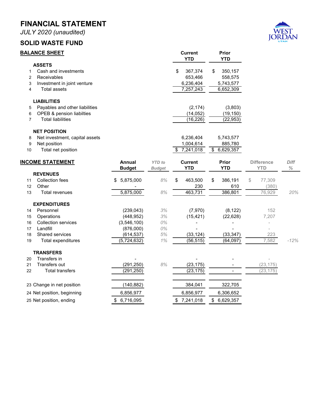*JULY 2020 (unaudited)*

#### **SOLID WASTE FUND**



| <b>BALANCE SHEET</b> |                                |                 |               | <b>Current</b><br><b>YTD</b> | Prior<br><b>YTD</b> |                   |        |
|----------------------|--------------------------------|-----------------|---------------|------------------------------|---------------------|-------------------|--------|
|                      | <b>ASSETS</b>                  |                 |               |                              |                     |                   |        |
| 1                    | Cash and investments           |                 |               | \$<br>367,374                | \$<br>350,157       |                   |        |
| 2                    | Receivables                    |                 |               | 653,466                      | 558,575             |                   |        |
| 3                    | Investment in joint venture    |                 |               | 6,236,404                    | 5,743,577           |                   |        |
| $\overline{4}$       | <b>Total assets</b>            |                 |               | 7,257,243                    | 6,652,309           |                   |        |
|                      | <b>LIABILITIES</b>             |                 |               |                              |                     |                   |        |
| 5                    | Payables and other liabilities |                 |               | (2, 174)                     | (3,803)             |                   |        |
| 6                    | OPEB & pension liabilties      |                 |               | (14, 052)                    | (19, 150)           |                   |        |
| $\overline{7}$       | <b>Total liabilities</b>       |                 |               | (16, 226)                    | (22, 953)           |                   |        |
|                      | <b>NET POSITION</b>            |                 |               |                              |                     |                   |        |
| 8                    | Net investment, capital assets |                 |               | 6,236,404                    | 5,743,577           |                   |        |
| 9                    | Net position                   |                 |               | 1,004,614                    | 885,780             |                   |        |
| 10                   | Total net position             |                 |               | \$<br>7,241,018              | \$<br>6,629,357     |                   |        |
|                      | <b>INCOME STATEMENT</b>        | Annual          | <b>YTD</b> to | <b>Current</b>               | Prior               | <b>Difference</b> | Diff   |
|                      |                                | <b>Budget</b>   | Budget        | <b>YTD</b>                   | <b>YTD</b>          | <b>YTD</b>        | ℅      |
|                      | <b>REVENUES</b>                |                 |               |                              |                     |                   |        |
| 11                   | <b>Collection fees</b>         | 5,875,000<br>\$ | 8%            | \$<br>463,500                | \$<br>386,191       | \$<br>77,309      |        |
| 12                   | Other                          |                 |               | 230                          | 610                 | (380)             |        |
| 13                   | Total revenues                 | 5,875,000       | $8\%$         | 463,731                      | 386,801             | 76,929            | 20%    |
|                      | <b>EXPENDITURES</b>            |                 |               |                              |                     |                   |        |
| 14                   | Personnel                      | (239, 043)      | 3%            | (7,970)                      | (8, 122)            | 152               |        |
| 15                   | Operations                     | (448, 952)      | 3%            | (15, 421)                    | (22, 628)           | 7,207             |        |
| 16                   | <b>Collection services</b>     | (3,546,100)     | $0\%$         |                              |                     |                   |        |
| 17                   | Landfill                       | (876,000)       | 0%            |                              |                     |                   |        |
| 18                   | Shared services                | (614, 537)      | 5%            | (33, 124)                    | (33, 347)           | 223               |        |
| 19                   | Total expenditures             | (5, 724, 632)   | 1%            | (56, 515)                    | (64, 097)           | 7,582             | $-12%$ |
|                      | <b>TRANSFERS</b>               |                 |               |                              |                     |                   |        |
| 20                   | Transfers in                   |                 |               |                              |                     |                   |        |
| 21                   | Transfers out                  | (291, 250)      | 8%            | (23, 175)                    |                     | (23, 175)         |        |
| 22                   | <b>Total transfers</b>         | (291, 250)      |               | (23, 175)                    |                     | (23, 175)         |        |
|                      | 23 Change in net position      | (140, 882)      |               | 384,041                      | 322,705             |                   |        |
|                      | 24 Net position, beginning     | 6,856,977       |               | 6,856,977                    | 6,306,652           |                   |        |
|                      | 25 Net position, ending        | \$6,716,095     |               | \$7,241,018                  | \$6,629,357         |                   |        |
|                      |                                |                 |               |                              |                     |                   |        |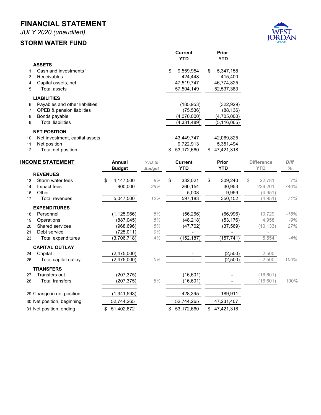*JULY 2020 (unaudited)*

#### **STORM WATER FUND**



|                |                                   |                  |               | <b>Current</b><br><b>YTD</b> | <b>Prior</b><br><b>YTD</b>            |                   |              |
|----------------|-----------------------------------|------------------|---------------|------------------------------|---------------------------------------|-------------------|--------------|
|                | <b>ASSETS</b>                     |                  |               |                              |                                       |                   |              |
| 1              | Cash and investments <sup>1</sup> |                  |               | 9,559,954<br>\$              | 5,347,158<br>\$                       |                   |              |
| 3              | Receivables                       |                  |               | 424,448                      | 415,400                               |                   |              |
| 4              | Capital assets, net               |                  |               | 47,519,747                   | 46,774,825                            |                   |              |
| 5              | <b>Total assets</b>               |                  |               | 57,504,149                   | 52,537,383                            |                   |              |
|                | <b>LIABILITIES</b>                |                  |               |                              |                                       |                   |              |
| 6              | Payables and other liabilities    |                  |               | (185, 953)                   | (322, 929)                            |                   |              |
| $\overline{7}$ | OPEB & pension liabilties         |                  |               | (75, 536)                    | (88, 136)                             |                   |              |
| 8              | Bonds payable                     |                  |               | (4,070,000)                  | (4,705,000)                           |                   |              |
| 9              | <b>Total liabilities</b>          |                  |               | (4, 331, 489)                | (5, 116, 065)                         |                   |              |
|                | <b>NET POSITION</b>               |                  |               |                              |                                       |                   |              |
| 10             | Net investment, capital assets    |                  |               | 43,449,747                   | 42,069,825                            |                   |              |
| 11             | Net position                      |                  |               | 9,722,913                    | 5,351,494                             |                   |              |
| 12             | Total net position                |                  |               | 53,172,660<br>\$             | $\overline{\mathbf{s}}$<br>47,421,318 |                   |              |
|                |                                   |                  |               |                              |                                       |                   |              |
|                | <b>INCOME STATEMENT</b>           | <b>Annual</b>    | <b>YTD</b> to | <b>Current</b><br><b>YTD</b> | Prior<br><b>YTD</b>                   | <b>Difference</b> | Diff<br>$\%$ |
|                | <b>REVENUES</b>                   | <b>Budget</b>    | <b>Budget</b> |                              |                                       | <b>YTD</b>        |              |
| 13             | Storm water fees                  | \$<br>4,147,500  | 8%            | \$<br>332,021                | \$<br>309,240                         | \$<br>22,781      | 7%           |
| 14             | Impact fees                       | 900,000          | 29%           | 260,154                      | 30,953                                | 229,201           | 740%         |
| 16             | Other                             |                  |               | 5,008                        | 9,959                                 | (4,951)           |              |
| 17             | Total revenues                    | 5,047,500        | 12%           | 597,183                      | 350,152                               | (4, 951)          | 71%          |
|                | <b>EXPENDITURES</b>               |                  |               |                              |                                       |                   |              |
| 18             | Personnel                         | (1, 125, 966)    | 5%            | (56, 266)                    | (66,996)                              | 10,729            | $-16%$       |
| 19             | Operations                        | (887, 045)       | 5%            | (48, 218)                    | (53, 176)                             | 4,958             | $-9%$        |
| 20             | <b>Shared services</b>            | (968, 696)       | 5%            | (47, 702)                    | (37, 569)                             | (10, 133)         | 27%          |
| 21             | Debt service                      | (725, 011)       | 0%            |                              |                                       |                   |              |
| 23             | Total expenditures                | (3,706,718)      | 4%            | (152, 187)                   | (157, 741)                            | 5,554             | $-4%$        |
|                | <b>CAPITAL OUTLAY</b>             |                  |               |                              |                                       |                   |              |
| 24             | Capital                           | (2,475,000)      |               |                              | (2,500)                               | 2,500             |              |
| 26             | Total capital outlay              | (2, 475, 000)    | 0%            |                              | (2,500)                               | 2,500             | $-100%$      |
|                | <b>TRANSFERS</b>                  |                  |               |                              |                                       |                   |              |
| 27             | <b>Transfers out</b>              | (207, 375)       |               | (16, 601)                    |                                       | (16, 601)         |              |
| 28             | Total transfers                   | (207, 375)       | 8%            | (16, 601)                    |                                       | (16, 601)         | 100%         |
|                |                                   |                  |               |                              |                                       |                   |              |
|                | 29 Change in net position         | (1, 341, 593)    |               | 428,395                      | 189,911                               |                   |              |
|                | 30 Net position, beginning        | 52,744,265       |               | 52,744,265                   | 47,231,407                            |                   |              |
|                | 31 Net position, ending           | 51,402,672<br>\$ |               | 53,172,660<br>\$             | \$<br>47,421,318                      |                   |              |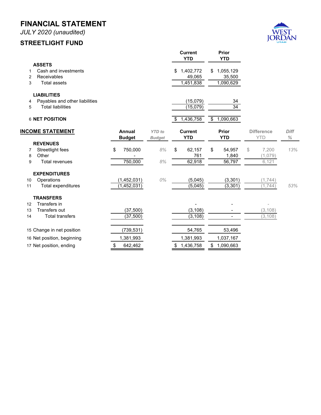*JULY 2020 (unaudited)*

#### **STREETLIGHT FUND**



|    |                                |                                |                                | <b>Current</b><br><b>YTD</b> | Prior<br><b>YTD</b>        |                                 |              |
|----|--------------------------------|--------------------------------|--------------------------------|------------------------------|----------------------------|---------------------------------|--------------|
|    | <b>ASSETS</b>                  |                                |                                |                              |                            |                                 |              |
| 1  | Cash and investments           |                                |                                | 1,402,772<br>\$              | 1,055,129<br>\$            |                                 |              |
| 2  | Receivables                    |                                |                                | 49,065                       | 35,500                     |                                 |              |
| 3  | <b>Total assets</b>            |                                |                                | 1,451,838                    | 1,090,629                  |                                 |              |
|    | <b>LIABILITIES</b>             |                                |                                |                              |                            |                                 |              |
| 4  | Payables and other liabilities |                                |                                | (15,079)                     | 34                         |                                 |              |
| 5  | <b>Total liabilities</b>       |                                |                                | (15,079)                     | $\overline{34}$            |                                 |              |
|    | 6 NET POSITION                 |                                |                                | 1,436,758<br>\$              | 1,090,663<br>\$            |                                 |              |
|    | <b>INCOME STATEMENT</b>        | <b>Annual</b><br><b>Budget</b> | <b>YTD</b> to<br><b>Budget</b> | <b>Current</b><br><b>YTD</b> | <b>Prior</b><br><b>YTD</b> | <b>Difference</b><br><b>YTD</b> | Diff<br>$\%$ |
|    | <b>REVENUES</b>                |                                |                                |                              |                            |                                 |              |
| 7  | Streetlight fees               | 750,000<br>\$                  | $8\%$                          | 62,157<br>\$                 | 54,957<br>\$               | 7,200<br>\$                     | 13%          |
| 8  | Other                          |                                |                                | 761                          | 1,840                      | (1,079)                         |              |
| 9  | <b>Total revenues</b>          | 750,000                        | 8%                             | 62,918                       | 56,797                     | 6,121                           |              |
|    | <b>EXPENDITURES</b>            |                                |                                |                              |                            |                                 |              |
| 10 | Operations                     | (1,452,031)                    | 0%                             | (5,045)                      | (3, 301)                   | (1, 744)                        |              |
| 11 | Total expenditures             | (1,452,031)                    |                                | (5,045)                      | (3, 301)                   | (1, 744)                        | 53%          |
|    | <b>TRANSFERS</b>               |                                |                                |                              |                            |                                 |              |
| 12 | Transfers in                   |                                |                                |                              |                            |                                 |              |
| 13 | Transfers out                  | (37,500)                       |                                | (3, 108)                     |                            | (3, 108)                        |              |
| 14 | <b>Total transfers</b>         | (37, 500)                      |                                | (3, 108)                     |                            | (3, 108)                        |              |
|    | 15 Change in net position      | (739, 531)                     |                                | 54,765                       | 53,496                     |                                 |              |
|    | 16 Net position, beginning     | 1,381,993                      |                                | 1,381,993                    | 1,037,167                  |                                 |              |
|    | 17 Net position, ending        | \$<br>642,462                  |                                | 1,436,758<br>\$              | 1,090,663<br>\$            |                                 |              |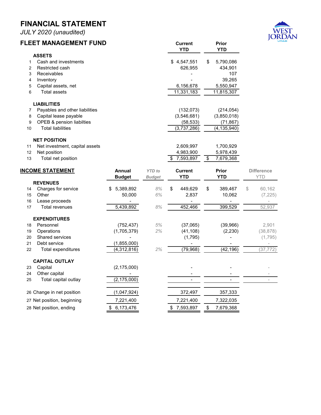*JULY 2020 (unaudited)*

# **FLEET MANAGEMENT FUND**



|                | FLEEI MANAGEMENI FUND          |                |               | <b>Current</b><br><b>YTD</b> | Prior<br><b>YTD</b> |                   |
|----------------|--------------------------------|----------------|---------------|------------------------------|---------------------|-------------------|
|                | <b>ASSETS</b>                  |                |               |                              |                     |                   |
| $\mathbf{1}$   | Cash and investments           |                |               | \$4,547,551                  | \$<br>5,790,086     |                   |
| $\overline{2}$ | Restricted cash                |                |               | 626,955                      | 434,901             |                   |
| 3              | Receivables                    |                |               |                              | 107                 |                   |
| 4              | Inventory                      |                |               |                              | 39,265              |                   |
| 5              | Capital assets, net            |                |               | 6,156,678                    | 5,550,947           |                   |
| 6              | <b>Total assets</b>            |                |               | 11,331,183                   | 11,815,307          |                   |
|                | <b>LIABILITIES</b>             |                |               |                              |                     |                   |
| 7              | Payables and other liabilities |                |               | (132, 073)                   | (214, 054)          |                   |
| 8              | Capital lease payable          |                |               | (3,546,681)                  | (3,850,018)         |                   |
| 9              | OPEB & pension liabilties      |                |               | (58, 533)                    | (71, 867)           |                   |
| 10             | <b>Total liabilities</b>       |                |               | (3,737,286)                  | (4, 135, 940)       |                   |
|                | <b>NET POSITION</b>            |                |               |                              |                     |                   |
| 11             | Net investment, capital assets |                |               | 2,609,997                    | 1,700,929           |                   |
| 12             | Net position                   |                |               | 4,983,900                    | 5,978,439           |                   |
| 13             | Total net position             |                |               | \$<br>7,593,897              | \$<br>7,679,368     |                   |
|                | <b>INCOME STATEMENT</b>        | <b>Annual</b>  | <b>YTD</b> to | <b>Current</b>               | Prior               | <b>Difference</b> |
|                |                                | <b>Budget</b>  | <b>Budget</b> | <b>YTD</b>                   | <b>YTD</b>          | <b>YTD</b>        |
|                | <b>REVENUES</b>                |                |               |                              |                     |                   |
| 14             | Charges for service            | 5,389,892<br>S | 8%            | \$<br>449,629                | \$<br>389,467       | \$<br>60,162      |
| 15             | Other                          | 50,000         | 6%            | 2,837                        | 10,062              | (7, 225)          |
| 16             | Lease proceeds                 |                |               |                              |                     |                   |
| 17             | <b>Total revenues</b>          | 5,439,892      | 8%            | 452,466                      | 399,529             | 52,937            |
|                | <b>EXPENDITURES</b>            |                |               |                              |                     |                   |
| 18             | Personnel                      | (752, 437)     | 5%            | (37,065)                     | (39,966)            | 2,901             |
| 19             | Operations                     | (1,705,379)    | 2%            | (41, 108)                    | (2,230)             | (38, 878)         |
| 20             | Shared services                |                |               | (1,795)                      |                     | (1,795)           |
| 21             | Debt service                   | (1,855,000)    |               |                              |                     |                   |
| 22             | Total expenditures             | (4, 312, 816)  | 2%            | (79,968)                     | (42, 196)           | (37, 772)         |
|                | <b>CAPITAL OUTLAY</b>          |                |               |                              |                     |                   |
| 23             | Capital                        | (2, 175, 000)  |               |                              |                     |                   |
| 24             | Other capital                  |                |               |                              |                     |                   |
|                |                                |                |               |                              |                     |                   |
| 25             | Total capital outlay           | (2, 175, 000)  |               | $\blacksquare$               | $\blacksquare$      |                   |

 Change in net position (1,047,924) 372,497 357,333 27 Net position, beginning 27,221,400 7,221,400 7,221,400 7,322,035 28 Net position, ending  $$ 6,173,476$   $$ 7,593,897$   $$ 7,679,368$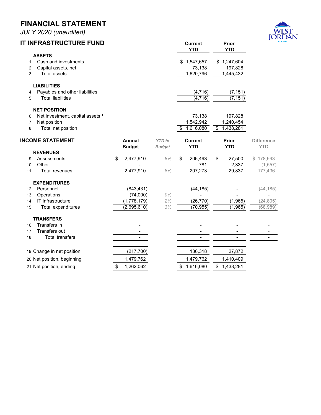*JULY 2020 (unaudited)*



| <b>IT INFRASTRUCTURE FUND</b>                                                                                           |                                                      |                                | <b>Current</b><br><b>YTD</b>            | Prior<br><b>YTD</b>                                  | JOF                                  |
|-------------------------------------------------------------------------------------------------------------------------|------------------------------------------------------|--------------------------------|-----------------------------------------|------------------------------------------------------|--------------------------------------|
| <b>ASSETS</b><br>Cash and investments<br>1<br>Capital assets, net<br>2<br>3<br><b>Total assets</b>                      |                                                      |                                | 1,547,657<br>73,138<br>1,620,796        | \$1,247,604<br>197,828<br>1,445,432                  |                                      |
| <b>LIABILITIES</b><br>Payables and other liabilities<br>4<br><b>Total liabilities</b><br>5                              |                                                      |                                | (4, 716)<br>(4, 716)                    | (7, 151)<br>(7, 151)                                 |                                      |
| <b>NET POSITION</b><br>Net investment, capital assets <sup>1</sup><br>6<br>Net position<br>7<br>8<br>Total net position |                                                      |                                | 73,138<br>1,542,942<br>1,616,080<br>\$  | 197,828<br>1,240,454<br>$\overline{\$}$<br>1,438,281 |                                      |
| <b>INCOME STATEMENT</b>                                                                                                 | <b>Annual</b><br><b>Budget</b>                       | <b>YTD</b> to<br><b>Budget</b> | <b>Current</b><br><b>YTD</b>            | Prior<br><b>YTD</b>                                  | <b>Difference</b><br><b>YTD</b>      |
| <b>REVENUES</b><br>Assessments<br>9<br>Other<br>10<br>Total revenues<br>11                                              | \$<br>2,477,910<br>2,477,910                         | 8%<br>8%                       | \$<br>206,493<br>781<br>207,273         | 27,500<br>\$<br>2,337<br>29,837                      | 178,993<br>S.<br>(1, 557)<br>177,436 |
| <b>EXPENDITURES</b><br>Personnel<br>12<br>Operations<br>13<br>IT Infrastructure<br>14<br>15<br>Total expenditures       | (843, 431)<br>(74,000)<br>(1,778,179)<br>(2,695,610) | 0%<br>2%<br>3%                 | (44, 185)<br>(26, 770)<br>(70, 955)     | (1,965)<br>(1,965)                                   | (44, 185)<br>(24, 805)<br>(68,989)   |
| <b>TRANSFERS</b><br>Transfers in<br>16<br>Transfers out<br>17<br><b>Total transfers</b><br>18                           | $\overline{\phantom{0}}$                             |                                |                                         | $\overline{a}$                                       | ÷                                    |
| 19 Change in net position<br>20 Net position, beginning<br>21 Net position, ending                                      | (217, 700)<br>1,479,762<br>1,262,062<br>\$           |                                | 136,318<br>1,479,762<br>1,616,080<br>\$ | 27,872<br>1,410,409<br>\$1,438,281                   |                                      |